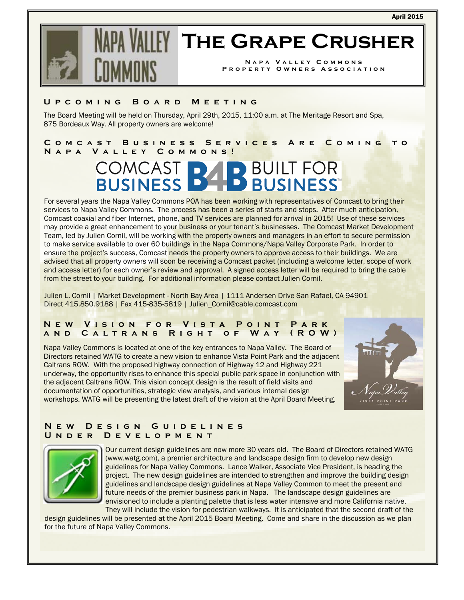

# **The Grape Crusher**

**Napa Valley Commons Property Owners Association** 

#### **Upcoming Board Meeting**

The Board Meeting will be held on Thursday, April 29th, 2015, 11:00 a.m. at The Meritage Resort and Spa, 875 Bordeaux Way. All property owners are welcome!

**Comcast Business Services Are Coming to Napa Valley Commons!** 

## **COMCAST B4 BUILT FOR**

For several years the Napa Valley Commons POA has been working with representatives of Comcast to bring their services to Napa Valley Commons. The process has been a series of starts and stops. After much anticipation, Comcast coaxial and fiber Internet, phone, and TV services are planned for arrival in 2015! Use of these services may provide a great enhancement to your business or your tenant's businesses. The Comcast Market Development Team, led by Julien Cornil, will be working with the property owners and managers in an effort to secure permission to make service available to over 60 buildings in the Napa Commons/Napa Valley Corporate Park. In order to ensure the project's success, Comcast needs the property owners to approve access to their buildings. We are advised that all property owners will soon be receiving a Comcast packet (including a welcome letter, scope of work and access letter) for each owner's review and approval. A signed access letter will be required to bring the cable from the street to your building. For additional information please contact Julien Cornil.

Julien L. Cornil | Market Development - North Bay Area | 1111 Andersen Drive San Rafael, CA 94901 Direct 415.850.9188 | Fax 415-835-5819 | Julien\_Cornil@cable.comcast.com

#### **New Vision for Vista Point Park and Caltrans Right of Way (ROW)**

Napa Valley Commons is located at one of the key entrances to Napa Valley. The Board of Directors retained WATG to create a new vision to enhance Vista Point Park and the adjacent Caltrans ROW. With the proposed highway connection of Highway 12 and Highway 221 underway, the opportunity rises to enhance this special public park space in conjunction with the adjacent Caltrans ROW. This vision concept design is the result of field visits and documentation of opportunities, strategic view analysis, and various internal design workshops. WATG will be presenting the latest draft of the vision at the April Board Meeting.



#### **New Design Guidelines Under Development**



Our current design guidelines are now more 30 years old. The Board of Directors retained WATG (www.watg.com), a premier architecture and landscape design firm to develop new design guidelines for Napa Valley Commons. Lance Walker, Associate Vice President, is heading the project. The new design guidelines are intended to strengthen and improve the building design guidelines and landscape design guidelines at Napa Valley Common to meet the present and future needs of the premier business park in Napa. The landscape design guidelines are envisioned to include a planting palette that is less water intensive and more California native.

They will include the vision for pedestrian walkways. It is anticipated that the second draft of the design guidelines will be presented at the April 2015 Board Meeting. Come and share in the discussion as we plan for the future of Napa Valley Commons.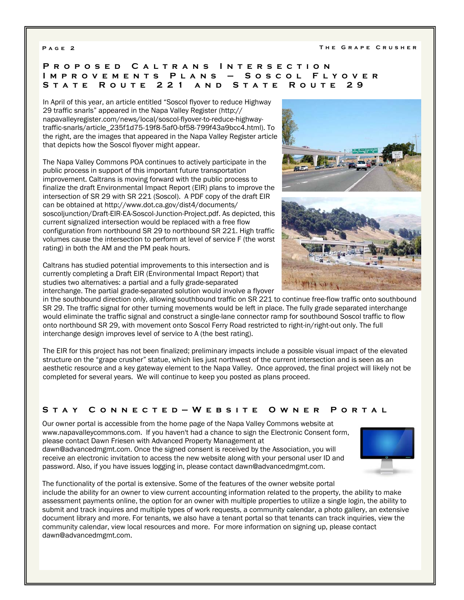#### **Proposed Caltrans Intersection Improvements Plans – Soscol Flyover State Route 221 and State Route 29**

In April of this year, an article entitled "Soscol flyover to reduce Highway 29 traffic snarls" appeared in the Napa Valley Register (http:// napavalleyregister.com/news/local/soscol-flyover-to-reduce-highwaytraffic-snarls/article\_235f1d75-19f8-5af0-bf58-799f43a9bcc4.html). To the right, are the images that appeared in the Napa Valley Register article that depicts how the Soscol flyover might appear.

The Napa Valley Commons POA continues to actively participate in the public process in support of this important future transportation improvement. Caltrans is moving forward with the public process to finalize the draft Environmental Impact Report (EIR) plans to improve the intersection of SR 29 with SR 221 (Soscol). A PDF copy of the draft EIR can be obtained at http://www.dot.ca.gov/dist4/documents/ soscoljunction/Draft-EIR-EA-Soscol-Junction-Project.pdf. As depicted, this current signalized intersection would be replaced with a free flow configuration from northbound SR 29 to northbound SR 221. High traffic volumes cause the intersection to perform at level of service F (the worst rating) in both the AM and the PM peak hours.

Caltrans has studied potential improvements to this intersection and is currently completing a Draft EIR (Environmental Impact Report) that studies two alternatives: a partial and a fully grade-separated interchange. The partial grade-separated solution would involve a flyover

in the southbound direction only, allowing southbound traffic on SR 221 to continue free-flow traffic onto southbound SR 29. The traffic signal for other turning movements would be left in place. The fully grade separated interchange would eliminate the traffic signal and construct a single-lane connector ramp for southbound Soscol traffic to flow onto northbound SR 29, with movement onto Soscol Ferry Road restricted to right-in/right-out only. The full interchange design improves level of service to A (the best rating).

The EIR for this project has not been finalized; preliminary impacts include a possible visual impact of the elevated structure on the "grape crusher" statue, which lies just northwest of the current intersection and is seen as an aesthetic resource and a key gateway element to the Napa Valley. Once approved, the final project will likely not be completed for several years. We will continue to keep you posted as plans proceed.

### **Stay Connected—Website Owner Portal**

Our owner portal is accessible from the home page of the Napa Valley Commons website at www.napavalleycommons.com. If you haven't had a chance to sign the Electronic Consent form, please contact Dawn Friesen with Advanced Property Management at

dawn@advancedmgmt.com. Once the signed consent is received by the Association, you will receive an electronic invitation to access the new website along with your personal user ID and password. Also, if you have issues logging in, please contact dawn@advancedmgmt.com.



The functionality of the portal is extensive. Some of the features of the owner website portal include the ability for an owner to view current accounting information related to the property, the ability to make assessment payments online, the option for an owner with multiple properties to utilize a single login, the ability to submit and track inquires and multiple types of work requests, a community calendar, a photo gallery, an extensive document library and more. For tenants, we also have a tenant portal so that tenants can track inquiries, view the community calendar, view local resources and more. For more information on signing up, please contact dawn@advancedmgmt.com.



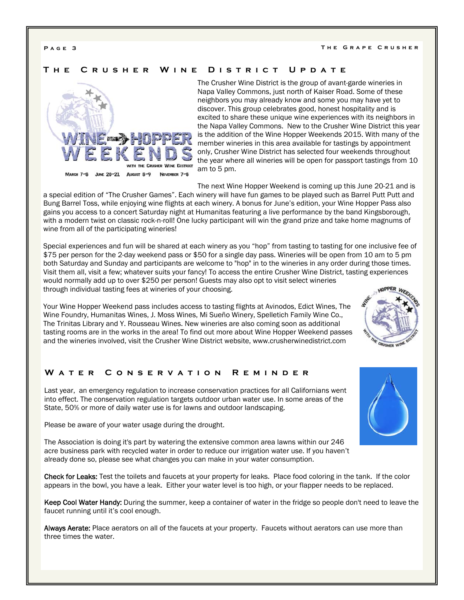#### **The Crusher Wine District Update**



The Crusher Wine District is the group of avant-garde wineries in Napa Valley Commons, just north of Kaiser Road. Some of these neighbors you may already know and some you may have yet to discover. This group celebrates good, honest hospitality and is excited to share these unique wine experiences with its neighbors in the Napa Valley Commons. New to the Crusher Wine District this year is the addition of the Wine Hopper Weekends 2015. With many of the member wineries in this area available for tastings by appointment only, Crusher Wine District has selected four weekends throughout the year where all wineries will be open for passport tastings from 10 am to 5 pm.

The next Wine Hopper Weekend is coming up this June 20-21 and is

a special edition of "The Crusher Games". Each winery will have fun games to be played such as Barrel Putt Putt and Bung Barrel Toss, while enjoying wine flights at each winery. A bonus for June's edition, your Wine Hopper Pass also gains you access to a concert Saturday night at Humanitas featuring a live performance by the band Kingsborough, with a modern twist on classic rock-n-roll! One lucky participant will win the grand prize and take home magnums of wine from all of the participating wineries!

Special experiences and fun will be shared at each winery as you "hop" from tasting to tasting for one inclusive fee of \$75 per person for the 2-day weekend pass or \$50 for a single day pass. Wineries will be open from 10 am to 5 pm both Saturday and Sunday and participants are welcome to "hop" in to the wineries in any order during those times. Visit them all, visit a few; whatever suits your fancy! To access the entire Crusher Wine District, tasting experiences would normally add up to over \$250 per person! Guests may also opt to visit select wineries through individual tasting fees at wineries of your choosing.

Your Wine Hopper Weekend pass includes access to tasting flights at Avinodos, Edict Wines, The Wine Foundry, Humanitas Wines, J. Moss Wines, Mi Sueño Winery, Spelletich Family Wine Co., The Trinitas Library and Y. Rousseau Wines. New wineries are also coming soon as additional tasting rooms are in the works in the area! To find out more about Wine Hopper Weekend passes and the wineries involved, visit the Crusher Wine District website, www.crusherwinedistrict.com

#### **Water Conservation Reminder**

Last year, an emergency regulation to increase conservation practices for all Californians went into effect. The conservation regulation targets outdoor urban water use. In some areas of the State, 50% or more of daily water use is for lawns and outdoor landscaping.

Please be aware of your water usage during the drought.

The Association is doing it's part by watering the extensive common area lawns within our 246 acre business park with recycled water in order to reduce our irrigation water use. If you haven't already done so, please see what changes you can make in your water consumption.

Check for Leaks: Test the toilets and faucets at your property for leaks. Place food coloring in the tank. If the color appears in the bowl, you have a leak. Either your water level is too high, or your flapper needs to be replaced.

Keep Cool Water Handy: During the summer, keep a container of water in the fridge so people don't need to leave the faucet running until it's cool enough.

Always Aerate: Place aerators on all of the faucets at your property. Faucets without aerators can use more than three times the water.



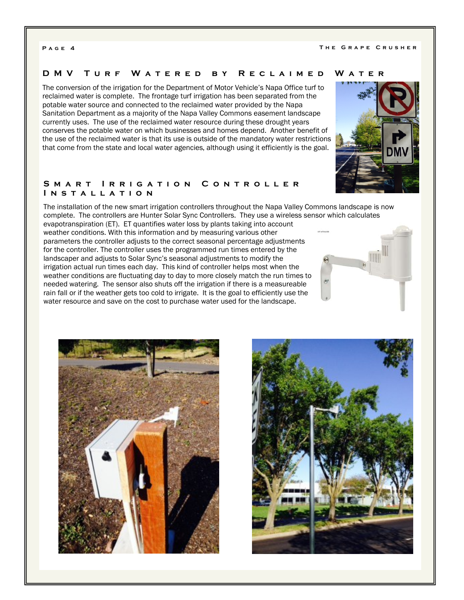#### **DMV Turf Watered by Reclaimed Water**

The conversion of the irrigation for the Department of Motor Vehicle's Napa Office turf to reclaimed water is complete. The frontage turf irrigation has been separated from the potable water source and connected to the reclaimed water provided by the Napa Sanitation Department as a majority of the Napa Valley Commons easement landscape currently uses. The use of the reclaimed water resource during these drought years conserves the potable water on which businesses and homes depend. Another benefit of the use of the reclaimed water is that its use is outside of the mandatory water restrictions that come from the state and local water agencies, although using it efficiently is the goal.



#### **Smart Irrigation Controller Installation**

The installation of the new smart irrigation controllers throughout the Napa Valley Commons landscape is now complete. The controllers are Hunter Solar Sync Controllers. They use a wireless sensor which calculates

evapotranspiration (ET). ET quantifies water loss by plants taking into account weather conditions. With this information and by measuring various other parameters the controller adjusts to the correct seasonal percentage adjustments for the controller. The controller uses the programmed run times entered by the landscaper and adjusts to Solar Sync's seasonal adjustments to modify the irrigation actual run times each day. This kind of controller helps most when the weather conditions are fluctuating day to day to more closely match the run times to needed watering. The sensor also shuts off the irrigation if there is a measureable rain fall or if the weather gets too cold to irrigate. It is the goal to efficiently use the water resource and save on the cost to purchase water used for the landscape.





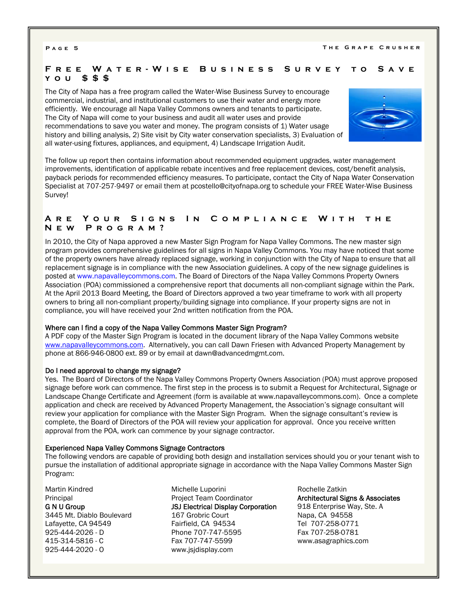### **Free Water-Wise Busi ness Survey to Save you \$\$\$**

The City of Napa has a free program called the Water-Wise Business Survey to encourage commercial, industrial, and institutional customers to use their water and energy more efficiently. We encourage all Napa Valley Commons owners and tenants to participate. The City of Napa will come to your business and audit all water uses and provide recommendations to save you water and money. The program consists of 1) Water usage history and billing analysis, 2) Site visit by City water conservation specialists, 3) Evaluation of all water-using fixtures, appliances, and equipment, 4) Landscape Irrigation Audit.



The follow up report then contains information about recommended equipment upgrades, water management improvements, identification of applicable rebate incentives and free replacement devices, cost/benefit analysis, payback periods for recommended efficiency measures. To participate, contact the City of Napa Water Conservation Specialist at 707-257-9497 or email them at pcostello@cityofnapa.org to schedule your FREE Water-Wise Business Survey!

### **Are Your Signs In Compliance With the New Program?**

In 2010, the City of Napa approved a new Master Sign Program for Napa Valley Commons. The new master sign program provides comprehensive guidelines for all signs in Napa Valley Commons. You may have noticed that some of the property owners have already replaced signage, working in conjunction with the City of Napa to ensure that all replacement signage is in compliance with the new Association guidelines. A copy of the new signage guidelines is posted at www.napavalleycommons.com. The Board of Directors of the Napa Valley Commons Property Owners Association (POA) commissioned a comprehensive report that documents all non-compliant signage within the Park. At the April 2013 Board Meeting, the Board of Directors approved a two year timeframe to work with all property owners to bring all non-compliant property/building signage into compliance. If your property signs are not in compliance, you will have received your 2nd written notification from the POA.

#### Where can I find a copy of the Napa Valley Commons Master Sign Program?

A PDF copy of the Master Sign Program is located in the document library of the Napa Valley Commons website www.napavalleycommons.com. Alternatively, you can call Dawn Friesen with Advanced Property Management by phone at 866-946-0800 ext. 89 or by email at dawn@advancedmgmt.com.

#### Do I need approval to change my signage?

Yes. The Board of Directors of the Napa Valley Commons Property Owners Association (POA) must approve proposed signage before work can commence. The first step in the process is to submit a Request for Architectural, Signage or Landscape Change Certificate and Agreement (form is available at www.napavalleycommons.com). Once a complete application and check are received by Advanced Property Management, the Association's signage consultant will review your application for compliance with the Master Sign Program. When the signage consultant's review is complete, the Board of Directors of the POA will review your application for approval. Once you receive written approval from the POA, work can commence by your signage contractor.

#### Experienced Napa Valley Commons Signage Contractors

The following vendors are capable of providing both design and installation services should you or your tenant wish to pursue the installation of additional appropriate signage in accordance with the Napa Valley Commons Master Sign Program:

Martin Kindred **Principal** G N U Group 3445 Mt. Diablo Boulevard Lafayette, CA 94549 925-444-2026 - D 415-314-5816 - C 925-444-2020 - O

Michelle Luporini Project Team Coordinator JSJ Electrical Display Corporation 167 Grobric Court Fairfield, CA 94534 Phone 707-747-5595 Fax 707-747-5599 www.jsjdisplay.com

Rochelle Zatkin Architectural Signs & Associates 918 Enterprise Way, Ste. A Napa, CA 94558 Tel 707-258-0771 Fax 707-258-0781 www.asagraphics.com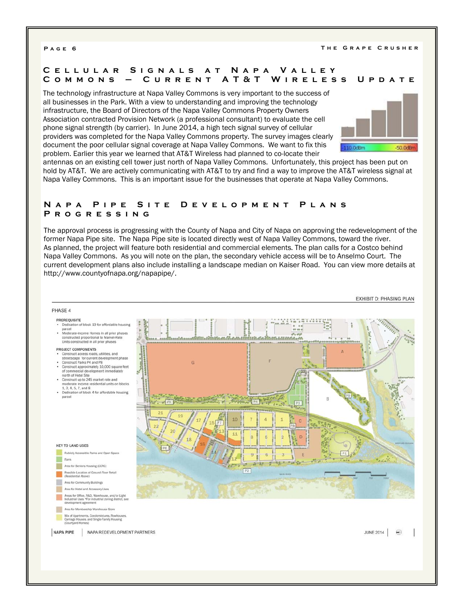### **Cellular Signals at Napa Valley Commons – Current AT &T Wireless Update**

The technology infrastructure at Napa Valley Commons is very important to the success of all businesses in the Park. With a view to understanding and improving the technology infrastructure, the Board of Directors of the Napa Valley Commons Property Owners Association contracted Provision Network (a professional consultant) to evaluate the cell phone signal strength (by carrier). In June 2014, a high tech signal survey of cellular providers was completed for the Napa Valley Commons property. The survey images clearly document the poor cellular signal coverage at Napa Valley Commons. We want to fix this problem. Earlier this year we learned that AT&T Wireless had planned to co-locate their



antennas on an existing cell tower just north of Napa Valley Commons. Unfortunately, this project has been put on hold by AT&T. We are actively communicating with AT&T to try and find a way to improve the AT&T wireless signal at Napa Valley Commons. This is an important issue for the businesses that operate at Napa Valley Commons.

### **Napa Pipe Site Development Plans Progressing**

The approval process is progressing with the County of Napa and City of Napa on approving the redevelopment of the former Napa Pipe site. The Napa Pipe site is located directly west of Napa Valley Commons, toward the river. As planned, the project will feature both residential and commercial elements. The plan calls for a Costco behind Napa Valley Commons. As you will note on the plan, the secondary vehicle access will be to Anselmo Court. The current development plans also include installing a landscape median on Kaiser Road. You can view more details at http://www.countyofnapa.org/napapipe/.

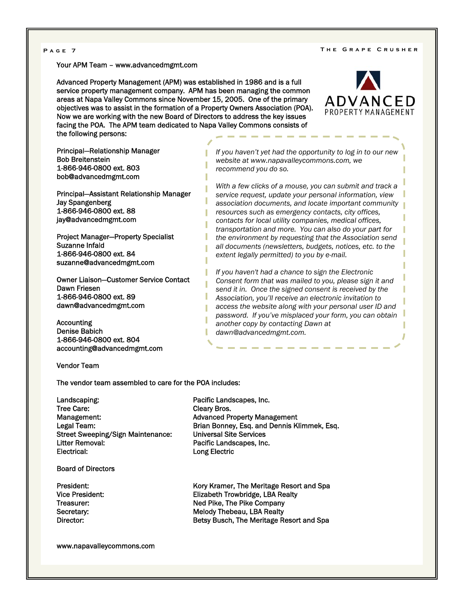#### **Page 7 The Grape Crusher**

Your APM Team – www.advancedmgmt.com

Advanced Property Management (APM) was established in 1986 and is a full service property management company. APM has been managing the common areas at Napa Valley Commons since November 15, 2005. One of the primary objectives was to assist in the formation of a Property Owners Association (POA). Now we are working with the new Board of Directors to address the key issues facing the POA. The APM team dedicated to Napa Valley Commons consists of the following persons:

ADVANCED PROPERTY MANAGEMENT

Principal—Relationship Manager Bob Breitenstein 1-866-946-0800 ext. 803 bob@advancedmgmt.com

Principal—Assistant Relationship Manager Jay Spangenberg 1-866-946-0800 ext. 88 jay@advancedmgmt.com

Project Manager—Property Specialist Suzanne Infald 1-866-946-0800 ext. 84 suzanne@advancedmgmt.com

Owner Liaison—Customer Service Contact Dawn Friesen 1-866-946-0800 ext. 89 dawn@advancedmgmt.com

Accounting Denise Babich 1-866-946-0800 ext. 804 accounting@advancedmgmt.com

Vendor Team

The vendor team assembled to care for the POA includes:

Landscaping: example and a pacific Landscapes, Inc. Tree Care: Cleary Bros. Management: Management: Advanced Property Management Street Sweeping/Sign Maintenance: Universal Site Services Litter Removal: The Contract Contract Pacific Landscapes, Inc.<br>
Electrical: Pacific Landscapes, Inc.<br>
Long Electric

Board of Directors

Legal Team: Brian Bonney, Esq. and Dennis Klimmek, Esq. Long Electric

President: Entertainment of the Kory Kramer, The Meritage Resort and Spa Vice President: Elizabeth Trowbridge, LBA Realty Treasurer: Treasurer: Ned Pike, The Pike Company Secretary: Secretary: Melody Thebeau, LBA Realty Director: Betsy Busch, The Meritage Resort and Spa

www.napavalleycommons.com

*If you haven't yet had the opportunity to log in to our new website at www.napavalleycommons.com, we recommend you do so.* 

*With a few clicks of a mouse, you can submit and track a service request, update your personal information, view association documents, and locate important community resources such as emergency contacts, city offices, contacts for local utility companies, medical offices, transportation and more. You can also do your part for the environment by requesting that the Association send all documents (newsletters, budgets, notices, etc. to the extent legally permitted) to you by e-mail.* 

*If you haven't had a chance to sign the Electronic Consent form that was mailed to you, please sign it and send it in. Once the signed consent is received by the Association, you'll receive an electronic invitation to access the website along with your personal user ID and password. If you've misplaced your form, you can obtain another copy by contacting Dawn at dawn@advancedmgmt.com.*